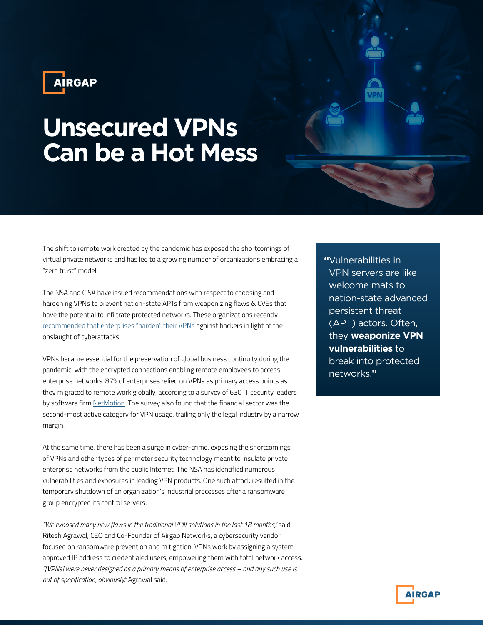

## **Unsecured VPNs Can be a Hot Mess**

The shift to remote work created by the pandemic has exposed the shortcomings of virtual private networks and has led to a growing number of organizations embracing a "zero trust" model.

The NSA and CISA have issued recommendations with respect to choosing and hardening VPNs to prevent nation-state APTs from weaponizing flaws & CVEs that have the potential to infiltrate protected networks. These organizations recently [recommended that enterprises "harden" their VPNs](https://us-cert.cisa.gov/ncas/current-activity/2021/09/28/cisa-and-nsa-release-guidance-selecting-and-hardening-vpns) against hackers in light of the onslaught of cyberattacks.

VPNs became essential for the preservation of global business continuity during the pandemic, with the encrypted connections enabling remote employees to access enterprise networks. 87% of enterprises relied on VPNs as primary access points as they migrated to remote work globally, according to a survey of 630 IT security leaders by software firm [NetMotion](https://www.netmotionsoftware.com/blog/mobility/vpn-sdp-remote-access-survey). The survey also found that the financial sector was the second-most active category for VPN usage, trailing only the legal industry by a narrow margin.

At the same time, there has been a surge in cyber-crime, exposing the shortcomings of VPNs and other types of perimeter security technology meant to insulate private enterprise networks from the public Internet. The NSA has identified numerous vulnerabilities and exposures in leading VPN products. One such attack resulted in the temporary shutdown of an organization's industrial processes after a ransomware group encrypted its control servers.

*"We exposed many new flaws in the traditional VPN solutions in the last 18 months,"* said Ritesh Agrawal, CEO and Co-Founder of Airgap Networks, a cybersecurity vendor focused on ransomware prevention and mitigation. VPNs work by assigning a systemapproved IP address to credentialed users, empowering them with total network access. *"[VPNs] were never designed as a primary means of enterprise access – and any such use is out of specification, obviously,"* Agrawal said.

**"**Vulnerabilities in VPN servers are like welcome mats to nation-state advanced persistent threat (APT) actors. Often, they **weaponize VPN vulnerabilities** to break into protected networks.**"**